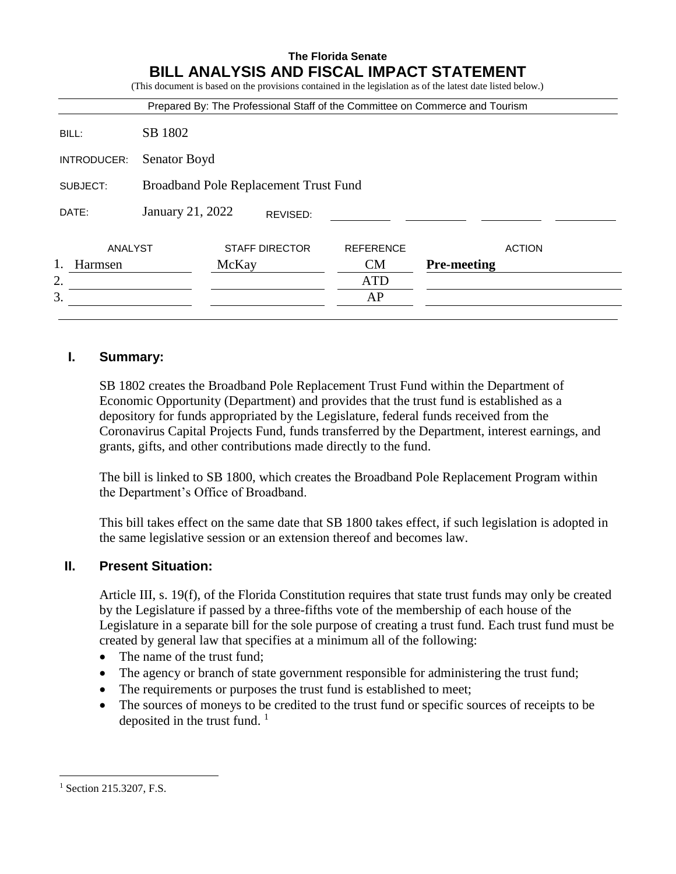| SB 1802<br>BILL:<br>Senator Boyd<br><b>Broadband Pole Replacement Trust Fund</b><br>January 21, 2022<br>REVISED: |               |
|------------------------------------------------------------------------------------------------------------------|---------------|
| INTRODUCER:<br>SUBJECT:<br>DATE:                                                                                 |               |
|                                                                                                                  |               |
|                                                                                                                  |               |
|                                                                                                                  |               |
| ANALYST<br><b>STAFF DIRECTOR</b><br><b>REFERENCE</b>                                                             | <b>ACTION</b> |
| <b>Pre-meeting</b><br><b>CM</b><br>McKay<br>Harmsen                                                              |               |

# **I. Summary:**

SB 1802 creates the Broadband Pole Replacement Trust Fund within the Department of Economic Opportunity (Department) and provides that the trust fund is established as a depository for funds appropriated by the Legislature, federal funds received from the Coronavirus Capital Projects Fund, funds transferred by the Department, interest earnings, and grants, gifts, and other contributions made directly to the fund.

The bill is linked to SB 1800, which creates the Broadband Pole Replacement Program within the Department's Office of Broadband.

This bill takes effect on the same date that SB 1800 takes effect, if such legislation is adopted in the same legislative session or an extension thereof and becomes law.

# **II. Present Situation:**

Article III, s. 19(f), of the Florida Constitution requires that state trust funds may only be created by the Legislature if passed by a three-fifths vote of the membership of each house of the Legislature in a separate bill for the sole purpose of creating a trust fund. Each trust fund must be created by general law that specifies at a minimum all of the following:

- The name of the trust fund;
- The agency or branch of state government responsible for administering the trust fund;
- The requirements or purposes the trust fund is established to meet;
- The sources of moneys to be credited to the trust fund or specific sources of receipts to be deposited in the trust fund.  $\frac{1}{1}$

 $\overline{a}$ 

<sup>&</sup>lt;sup>1</sup> Section 215.3207, F.S.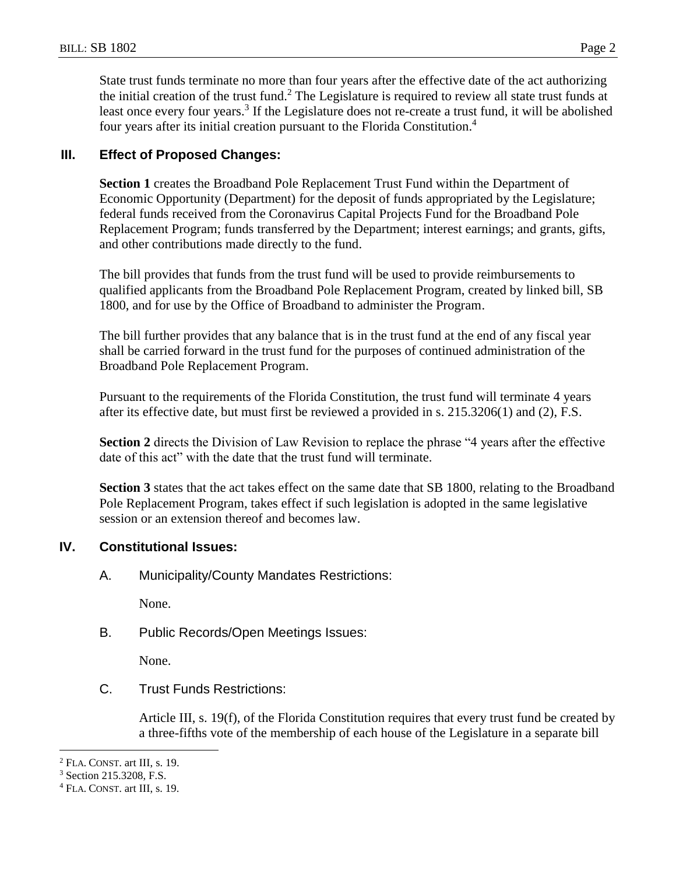State trust funds terminate no more than four years after the effective date of the act authorizing the initial creation of the trust fund.<sup>2</sup> The Legislature is required to review all state trust funds at least once every four years.<sup>3</sup> If the Legislature does not re-create a trust fund, it will be abolished four years after its initial creation pursuant to the Florida Constitution.<sup>4</sup>

## **III. Effect of Proposed Changes:**

**Section 1** creates the Broadband Pole Replacement Trust Fund within the Department of Economic Opportunity (Department) for the deposit of funds appropriated by the Legislature; federal funds received from the Coronavirus Capital Projects Fund for the Broadband Pole Replacement Program; funds transferred by the Department; interest earnings; and grants, gifts, and other contributions made directly to the fund.

The bill provides that funds from the trust fund will be used to provide reimbursements to qualified applicants from the Broadband Pole Replacement Program, created by linked bill, SB 1800, and for use by the Office of Broadband to administer the Program.

The bill further provides that any balance that is in the trust fund at the end of any fiscal year shall be carried forward in the trust fund for the purposes of continued administration of the Broadband Pole Replacement Program.

Pursuant to the requirements of the Florida Constitution, the trust fund will terminate 4 years after its effective date, but must first be reviewed a provided in s. 215.3206(1) and (2), F.S.

**Section 2** directs the Division of Law Revision to replace the phrase "4 years after the effective date of this act" with the date that the trust fund will terminate.

**Section 3** states that the act takes effect on the same date that SB 1800, relating to the Broadband Pole Replacement Program, takes effect if such legislation is adopted in the same legislative session or an extension thereof and becomes law.

# **IV. Constitutional Issues:**

A. Municipality/County Mandates Restrictions:

None.

B. Public Records/Open Meetings Issues:

None.

C. Trust Funds Restrictions:

Article III, s. 19(f), of the Florida Constitution requires that every trust fund be created by a three-fifths vote of the membership of each house of the Legislature in a separate bill

 $\overline{a}$ 

<sup>2</sup> FLA. CONST. art III, s. 19.

<sup>3</sup> Section 215.3208, F.S.

<sup>4</sup> FLA. CONST. art III, s. 19.